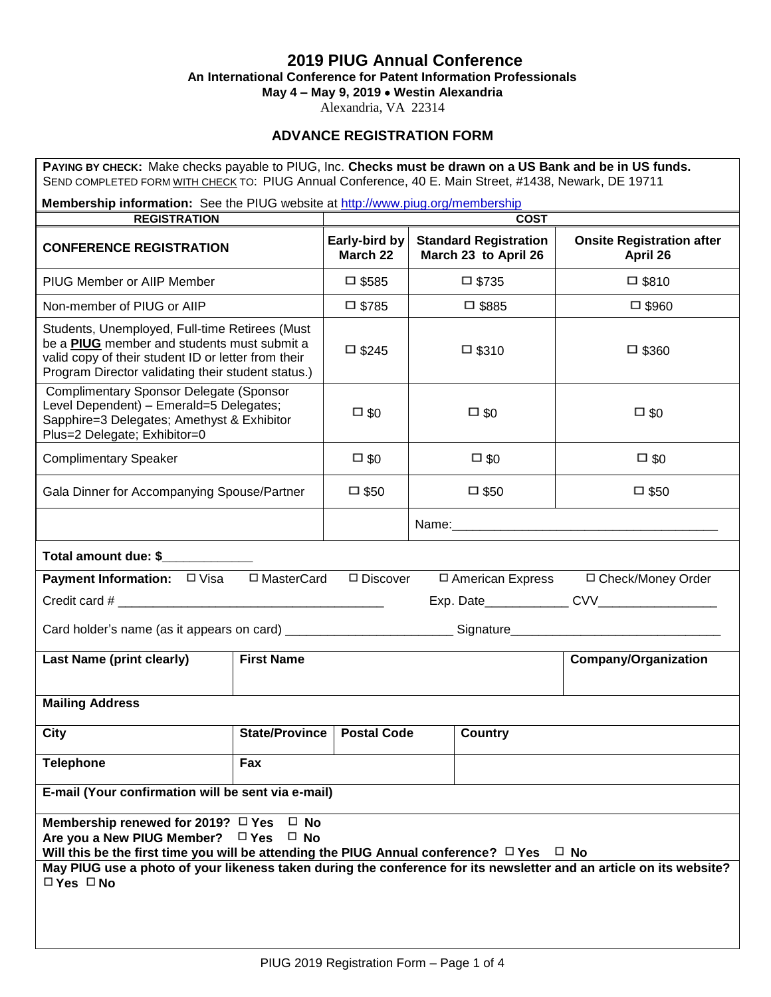# **2019 PIUG Annual Conference**

**An International Conference for Patent Information Professionals**

**May 4 – May 9, 2019** • **Westin Alexandria**

Alexandria, VA 22314

# **ADVANCE REGISTRATION FORM**

| PAYING BY CHECK: Make checks payable to PIUG, Inc. Checks must be drawn on a US Bank and be in US funds.<br>SEND COMPLETED FORM WITH CHECK TO: PIUG Annual Conference, 40 E. Main Street, #1438, Newark, DE 19711                                                                                                                                             |                       |                           |                 |                                                      |                                              |  |  |
|---------------------------------------------------------------------------------------------------------------------------------------------------------------------------------------------------------------------------------------------------------------------------------------------------------------------------------------------------------------|-----------------------|---------------------------|-----------------|------------------------------------------------------|----------------------------------------------|--|--|
| Membership information: See the PIUG website at http://www.piug.org/membership                                                                                                                                                                                                                                                                                |                       |                           |                 |                                                      |                                              |  |  |
| <b>REGISTRATION</b>                                                                                                                                                                                                                                                                                                                                           |                       |                           |                 | <b>COST</b>                                          |                                              |  |  |
| <b>CONFERENCE REGISTRATION</b>                                                                                                                                                                                                                                                                                                                                |                       | Early-bird by<br>March 22 |                 | <b>Standard Registration</b><br>March 23 to April 26 | <b>Onsite Registration after</b><br>April 26 |  |  |
| <b>PIUG Member or AIIP Member</b>                                                                                                                                                                                                                                                                                                                             |                       | $\square$ \$585           |                 | $\square$ \$735                                      | $\square$ \$810                              |  |  |
| Non-member of PIUG or AIIP                                                                                                                                                                                                                                                                                                                                    |                       | $\square$ \$785           |                 | $\square$ \$885                                      | $\square$ \$960                              |  |  |
| Students, Unemployed, Full-time Retirees (Must<br>be a PIUG member and students must submit a<br>valid copy of their student ID or letter from their<br>Program Director validating their student status.)                                                                                                                                                    |                       | $\square$ \$245           | $\square$ \$310 |                                                      | $\square$ \$360                              |  |  |
| <b>Complimentary Sponsor Delegate (Sponsor</b><br>Level Dependent) - Emerald=5 Delegates;<br>Sapphire=3 Delegates; Amethyst & Exhibitor<br>Plus=2 Delegate; Exhibitor=0                                                                                                                                                                                       |                       | $\square$ \$0             |                 | $\square$ \$0<br>$\square$ \$0                       |                                              |  |  |
| <b>Complimentary Speaker</b>                                                                                                                                                                                                                                                                                                                                  |                       | $\square$ \$0             |                 | $\square$ \$0                                        | $\square$ \$0                                |  |  |
| Gala Dinner for Accompanying Spouse/Partner                                                                                                                                                                                                                                                                                                                   |                       | $\square$ \$50            |                 | $\square$ \$50                                       | $\square$ \$50                               |  |  |
|                                                                                                                                                                                                                                                                                                                                                               |                       |                           |                 |                                                      |                                              |  |  |
| Total amount due: \$                                                                                                                                                                                                                                                                                                                                          |                       |                           |                 |                                                      |                                              |  |  |
| <b>Payment Information:</b> □ Visa □ MasterCard                                                                                                                                                                                                                                                                                                               |                       | $\Box$ Discover           |                 |                                                      | □ American Express □ Check/Money Order       |  |  |
|                                                                                                                                                                                                                                                                                                                                                               |                       |                           |                 |                                                      |                                              |  |  |
|                                                                                                                                                                                                                                                                                                                                                               |                       |                           |                 |                                                      |                                              |  |  |
| <b>Last Name (print clearly)</b><br><b>First Name</b>                                                                                                                                                                                                                                                                                                         |                       |                           |                 |                                                      | <b>Company/Organization</b>                  |  |  |
| <b>Mailing Address</b>                                                                                                                                                                                                                                                                                                                                        |                       |                           |                 |                                                      |                                              |  |  |
| <b>City</b>                                                                                                                                                                                                                                                                                                                                                   | <b>State/Province</b> | <b>Postal Code</b>        |                 | <b>Country</b>                                       |                                              |  |  |
| <b>Telephone</b>                                                                                                                                                                                                                                                                                                                                              | Fax                   |                           |                 |                                                      |                                              |  |  |
| E-mail (Your confirmation will be sent via e-mail)                                                                                                                                                                                                                                                                                                            |                       |                           |                 |                                                      |                                              |  |  |
| Membership renewed for 2019? □ Yes<br>$\Box$ No<br>Are you a New PIUG Member? $\Box$ Yes<br>$\square$ No<br>Will this be the first time you will be attending the PIUG Annual conference? $\Box$ Yes $\Box$ No<br>May PIUG use a photo of your likeness taken during the conference for its newsletter and an article on its website?<br>$\Box$ Yes $\Box$ No |                       |                           |                 |                                                      |                                              |  |  |
|                                                                                                                                                                                                                                                                                                                                                               |                       |                           |                 |                                                      |                                              |  |  |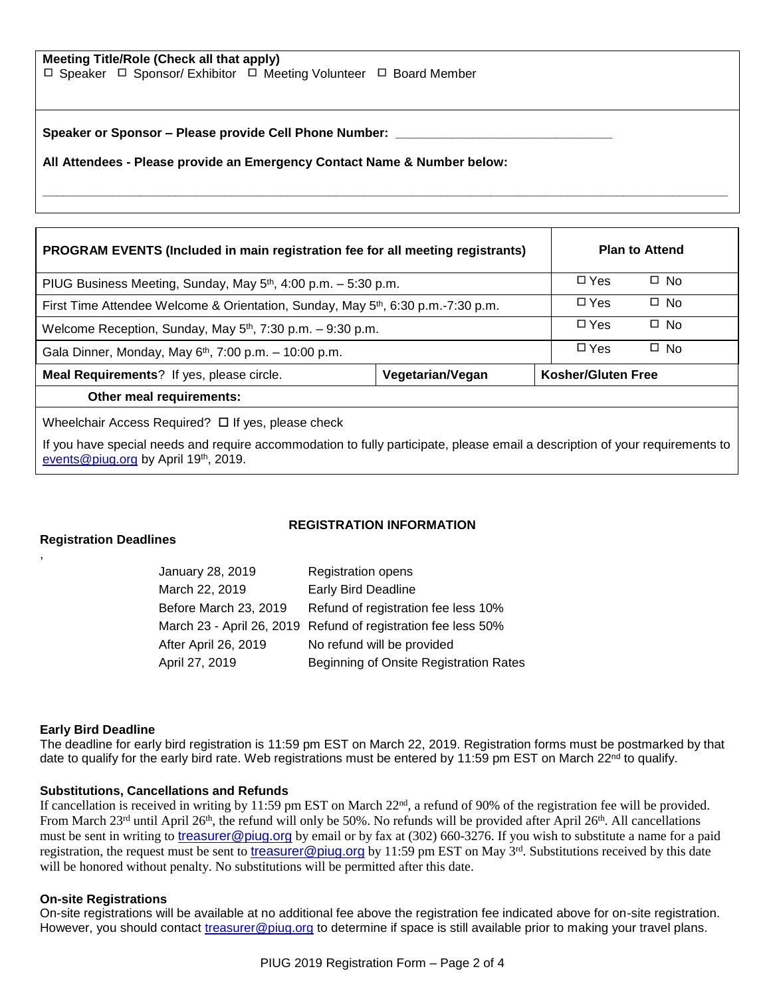### **Meeting Title/Role (Check all that apply)**

 $\Box$  Speaker  $\Box$  Sponsor/ Exhibitor  $\Box$  Meeting Volunteer  $\Box$  Board Member

**Speaker or Sponsor – Please provide Cell Phone Number: \_\_\_\_\_\_\_\_\_\_\_\_\_\_\_\_\_\_\_\_\_\_\_\_\_\_\_\_\_\_\_**

**All Attendees - Please provide an Emergency Contact Name & Number below:**

| PROGRAM EVENTS (Included in main registration fee for all meeting registrants)               |  |                           | <b>Plan to Attend</b> |  |  |
|----------------------------------------------------------------------------------------------|--|---------------------------|-----------------------|--|--|
| PIUG Business Meeting, Sunday, May $5th$ , 4:00 p.m. $-5:30$ p.m.                            |  |                           | $\Box$ No             |  |  |
| First Time Attendee Welcome & Orientation, Sunday, May 5 <sup>th</sup> , 6:30 p.m.-7:30 p.m. |  |                           | $\Box$ No             |  |  |
| Welcome Reception, Sunday, May 5 <sup>th</sup> , 7:30 p.m. - 9:30 p.m.                       |  |                           | $\Box$ No             |  |  |
| Gala Dinner, Monday, May $6th$ , 7:00 p.m. $-10:00$ p.m.                                     |  |                           | $\Box$ No             |  |  |
| Meal Requirements? If yes, please circle.<br>Vegetarian/Vegan                                |  | <b>Kosher/Gluten Free</b> |                       |  |  |
| Other meal requirements:                                                                     |  |                           |                       |  |  |

**\_\_\_\_\_\_\_\_\_\_\_\_\_\_\_\_\_\_\_\_\_\_\_\_\_\_\_\_\_\_\_\_\_\_\_\_\_\_\_\_\_\_\_\_\_\_\_\_\_\_\_\_\_\_\_\_\_\_\_\_\_\_\_\_\_\_\_\_\_\_\_\_\_\_\_\_\_\_\_\_\_\_\_\_\_\_\_\_\_\_\_\_\_\_\_\_\_\_**

Wheelchair Access Required?  $\Box$  If yes, please check

If you have special needs and require accommodation to fully participate, please email a description of your requirements to [events@piug.org](mailto:events@piug.org) by April 19<sup>th</sup>, 2019.

### **REGISTRATION INFORMATION**

## **Registration Deadlines**

,

| January 28, 2019      | <b>Registration opens</b>                                     |
|-----------------------|---------------------------------------------------------------|
| March 22, 2019        | <b>Early Bird Deadline</b>                                    |
| Before March 23, 2019 | Refund of registration fee less 10%                           |
|                       | March 23 - April 26, 2019 Refund of registration fee less 50% |
| After April 26, 2019  | No refund will be provided                                    |
| April 27, 2019        | Beginning of Onsite Registration Rates                        |

### **Early Bird Deadline**

The deadline for early bird registration is 11:59 pm EST on March 22, 2019. Registration forms must be postmarked by that date to qualify for the early bird rate. Web registrations must be entered by 11:59 pm EST on March  $22^{nd}$  to qualify.

### **Substitutions, Cancellations and Refunds**

If cancellation is received in writing by 11:59 pm EST on March  $22<sup>nd</sup>$ , a refund of 90% of the registration fee will be provided. From March 23<sup>rd</sup> until April 26<sup>th</sup>, the refund will only be 50%. No refunds will be provided after April 26<sup>th</sup>. All cancellations must be sent in writing to [treasurer@piug.org](mailto:treasurer@piug.org) by email or by fax at (302) 660-3276. If you wish to substitute a name for a paid registration, the request must be sent to [treasurer@piug.org](mailto:treasurer@piug.org) by 11:59 pm EST on May 3<sup>rd</sup>. Substitutions received by this date will be honored without penalty. No substitutions will be permitted after this date.

### **On-site Registrations**

On-site registrations will be available at no additional fee above the registration fee indicated above for on-site registration. However, you should contact [treasurer@piug.org](mailto:treasurer@piug.org) to determine if space is still available prior to making your travel plans.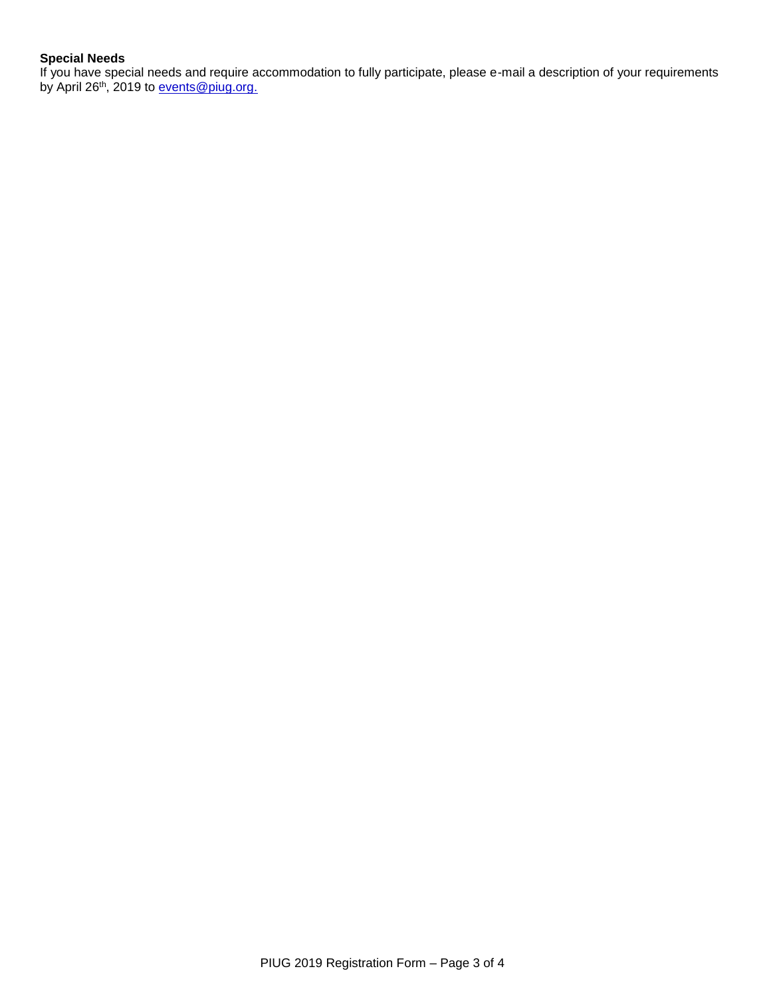## **Special Needs**

If you have special needs and require accommodation to fully participate, please e-mail a description of your requirements by April 26<sup>th</sup>, 2019 to [events@piug.org.](mailto:events@piug.org)